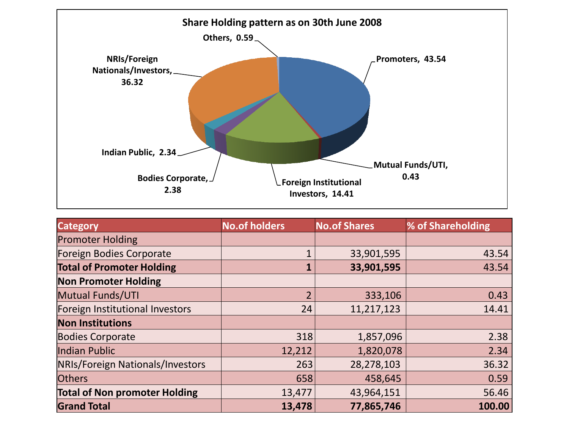

| <b>Category</b>                      | <b>No.of holders</b> | <b>No.of Shares</b> | % of Shareholding |
|--------------------------------------|----------------------|---------------------|-------------------|
| <b>Promoter Holding</b>              |                      |                     |                   |
| Foreign Bodies Corporate             |                      | 33,901,595          | 43.54             |
| <b>Total of Promoter Holding</b>     |                      | 33,901,595          | 43.54             |
| <b>Non Promoter Holding</b>          |                      |                     |                   |
| Mutual Funds/UTI                     | $\overline{2}$       | 333,106             | 0.43              |
| Foreign Institutional Investors      | 24                   | 11,217,123          | 14.41             |
| <b>Non Institutions</b>              |                      |                     |                   |
| <b>Bodies Corporate</b>              | 318                  | 1,857,096           | 2.38              |
| Indian Public                        | 12,212               | 1,820,078           | 2.34              |
| NRIs/Foreign Nationals/Investors     | 263                  | 28,278,103          | 36.32             |
| <b>Others</b>                        | 658                  | 458,645             | 0.59              |
| <b>Total of Non promoter Holding</b> | 13,477               | 43,964,151          | 56.46             |
| <b>Grand Total</b>                   | 13,478               | 77,865,746          | 100.00            |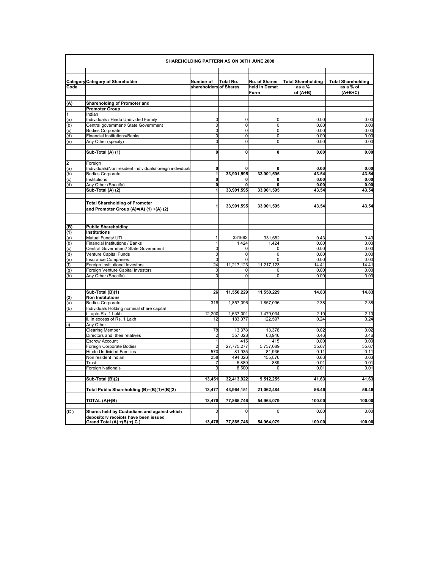|            | SHAREHOLDING PATTERN AS ON 30TH JUNE 2008                                           |                                     |                         |                                |                                     |                                        |
|------------|-------------------------------------------------------------------------------------|-------------------------------------|-------------------------|--------------------------------|-------------------------------------|----------------------------------------|
| Code       | <b>Category Category of Shareholder</b>                                             | Number of<br>shareholders of Shares | Total No.               | No. of Shares<br>held in Demat | <b>Total Shareholding</b><br>as a % | <b>Total Shareholding</b><br>as a % of |
|            |                                                                                     |                                     |                         | Form                           | of $(A+B)$                          | $(A+B+C)$                              |
| (A)        | Shareholding of Promoter and                                                        |                                     |                         |                                |                                     |                                        |
|            | <b>Promoter Group</b>                                                               |                                     |                         |                                |                                     |                                        |
| 1          | Indian                                                                              |                                     |                         |                                |                                     |                                        |
| (a)        | Individuals / Hindu Undivided Family                                                | 0                                   | $\overline{\mathbf{0}}$ | 0                              | 0.00                                | 0.00                                   |
| (b)        | Central government/ State Government                                                | $\mathbf 0$                         | $\mathsf{O}$            | O                              | 0.00                                | 0.00                                   |
| (c)        | Bodies Corporate                                                                    | $\mathbf 0$                         | 0                       | $\mathbf 0$                    | 0.00                                | 0.00                                   |
| (d)        | <b>Financial Institutions/Banks</b>                                                 | 0                                   | $\mathbf{0}$            | $\mathbf 0$                    | 0.00                                | 0.00                                   |
| (e)        | Any Other (specify)                                                                 | $\mathbf 0$                         | $\mathsf{O}$            | $\mathbf 0$                    | 0.00                                | 0.00                                   |
|            | Sub-Total (A) (1)                                                                   | $\mathbf 0$                         | 0                       | 0                              | 0.00                                | 0.00                                   |
|            |                                                                                     |                                     |                         |                                |                                     |                                        |
| 2          | Foreign                                                                             |                                     |                         |                                |                                     |                                        |
| (a)        | Individuals(Non resident individuals/foreign individuals<br><b>Bodies Corporate</b> | 0<br>1                              | 0<br>33,901,595         | 0<br>33,901,595                | 0.00<br>43.54                       | 0.00<br>43.54                          |
| (b)<br>(c) | Institutions                                                                        | $\mathbf 0$                         | 0                       | 0                              | 0.00                                | 0.00                                   |
| (d)        | Any Other (Specify)                                                                 | $\mathbf{0}$                        | $\mathbf{0}$            | 0                              | 0.00                                | 0.00                                   |
|            | Sub-Total (A) (2)                                                                   | 1                                   | 33,901,595              | 33,901,595                     | 43.54                               | 43.54                                  |
|            |                                                                                     |                                     |                         |                                |                                     |                                        |
|            | <b>Total Shareholding of Promoter</b><br>and Promoter Group (A)=(A) (1) +(A) (2)    | 1                                   | 33,901,595              | 33,901,595                     | 43.54                               | 43.54                                  |
| (B)        | <b>Public Shareholding</b>                                                          |                                     |                         |                                |                                     |                                        |
| (1)        | <b>Institutions</b>                                                                 |                                     |                         |                                |                                     |                                        |
| (a)        | Mutual Funds/ UTI                                                                   | 1                                   | 331682                  | 331,682                        | 0.43                                | 0.43                                   |
| (b)        | Financial Institutions / Banks                                                      | $\mathbf{1}$                        | 1.424                   | 1.424                          | 0.00                                | 0.00                                   |
| (c)        | Central Government/ State Government                                                | 0                                   | 0                       | 0                              | 0.00                                | 0.00                                   |
| (d)        | Venture Capital Funds                                                               | 0                                   | $\mathbf 0$             | $\mathbf 0$                    | 0.00                                | 0.00                                   |
| (e)        | <b>Insurance Companies</b>                                                          | $\mathbf 0$                         | 0                       | $\mathbf 0$                    | 0.00                                | 0.00                                   |
| (f)        | Foreign Institutional Investors                                                     | 24                                  | 11,217,123              | 11,217,123                     | 14.41                               | 14.41                                  |
| (g)<br>(h) | Foreign Venture Capital Investors<br>Any Other (Specify)                            | $\pmb{0}$<br>$\mathbf 0$            | 0<br>$\mathbf 0$        | 0<br>0                         | 0.00<br>0.00                        | 0.00<br>0.00                           |
|            |                                                                                     |                                     |                         |                                |                                     |                                        |
|            | Sub-Total (B)(1)                                                                    | 26                                  | 11,550,229              | 11,550,229                     | 14.83                               | 14.83                                  |
| (2)        | <b>Non Institutions</b>                                                             |                                     |                         |                                |                                     |                                        |
| (a)        | <b>Bodies Corporate</b>                                                             | 318                                 | 1,857,096               | 1,857,096                      | 2.38                                | 2.38                                   |
| (b)        | Individuals Holding nominal share capital                                           |                                     |                         |                                |                                     |                                        |
|            | i. upto Rs. 1 Lakh                                                                  | 12,200                              | 1,637,001               | 1,479,034                      | 2.10                                | 2.10                                   |
|            | ii. In excess of Rs. 1 Lakh<br>Any Other                                            | 12                                  | 183,077                 | 122,597                        | 0.24                                | 0.24                                   |
| c)         | <b>Clearing Member</b>                                                              | 78                                  | 13,378                  | 13,378                         | 0.02                                | 0.02                                   |
|            | Directors and their relatives                                                       | $\overline{2}$                      | 357,028                 | 63,946                         | 0.46                                | 0.46                                   |
|            | <b>Escrow Account</b>                                                               | $\mathbf{1}$                        | 415                     | 415                            | 0.00                                | 0.00                                   |
|            | Foreign Corporate Bodies                                                            | $\overline{a}$                      | 27,775,277              | 5,737,089                      | 35.67                               | 35.67                                  |
|            | <b>Hindu Undivided Families</b>                                                     | 570                                 | 81,935                  | 81,935                         | 0.11                                | 0.11                                   |
|            | Non resident Indian                                                                 | 258                                 | 494,326                 | 155,876                        | 0.63                                | 0.63                                   |
|            | Trust                                                                               | 7                                   | 5,889                   | 889                            | 0.01                                | 0.01                                   |
|            | Foreign Nationals                                                                   | 3                                   | 8,500                   | 0                              | 0.01                                | 0.01                                   |
|            | Sub-Total (B)(2)                                                                    | 13,451                              | 32,413,922              | 9,512,255                      | 41.63                               | 41.63                                  |
|            | Total Public Shareholding (B)=(B)(1)+(B)(2)                                         | 13,477                              | 43,964,151              | 21,062,484                     | 56.46                               | 56.46                                  |
|            | TOTAL (A)+(B)                                                                       | 13,478                              | 77,865,746              | 54,964,079                     | 100.00                              | 100.00                                 |
| (C)        | Shares held by Custodians and against which                                         | 0                                   | 0                       | 0                              | 0.00                                | 0.00                                   |
|            | depository receipts have been issued<br>Grand Total (A) $+(B) + (C)$                | 13,478                              | 77,865,746              | 54,964,079                     | 100.00                              | 100.00                                 |